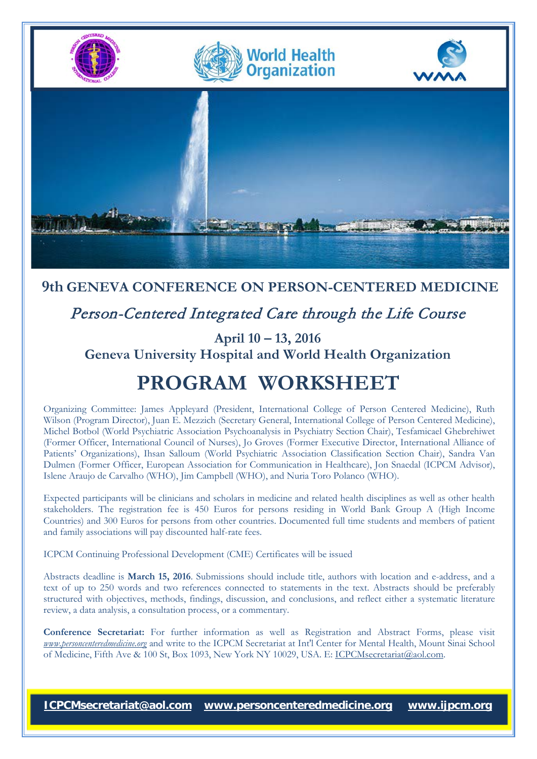

### **9th GENEVA CONFERENCE ON PERSON-CENTERED MEDICINE**

## Person-Centered Integrated Care through the Life Course

**April 10 – 13, 2016 Geneva University Hospital and World Health Organization**

# **PROGRAM WORKSHEET**

Organizing Committee: James Appleyard (President, International College of Person Centered Medicine), Ruth Wilson (Program Director), Juan E. Mezzich (Secretary General, International College of Person Centered Medicine), Michel Botbol (World Psychiatric Association Psychoanalysis in Psychiatry Section Chair), Tesfamicael Ghebrehiwet (Former Officer, International Council of Nurses), Jo Groves (Former Executive Director, International Alliance of Patients' Organizations), Ihsan Salloum (World Psychiatric Association Classification Section Chair), Sandra Van Dulmen (Former Officer, European Association for Communication in Healthcare), Jon Snaedal (ICPCM Advisor), Islene Araujo de Carvalho (WHO), Jim Campbell (WHO), and Nuria Toro Polanco (WHO).

Expected participants will be clinicians and scholars in medicine and related health disciplines as well as other health stakeholders. The registration fee is 450 Euros for persons residing in World Bank Group A (High Income Countries) and 300 Euros for persons from other countries. Documented full time students and members of patient and family associations will pay discounted half-rate fees.

ICPCM Continuing Professional Development (CME) Certificates will be issued

Abstracts deadline is **March 15, 2016**. Submissions should include title, authors with location and e-address, and a text of up to 250 words and two references connected to statements in the text. Abstracts should be preferably structured with objectives, methods, findings, discussion, and conclusions, and reflect either a systematic literature review, a data analysis, a consultation process, or a commentary.

**Conference Secretariat:** For further information as well as Registration and Abstract Forms, please visit *[www.personcenteredmedicine.org](http://www.personcenteredmedicine.org/)* and write to the ICPCM Secretariat at Int'l Center for Mental Health, Mount Sinai School of Medicine, Fifth Ave & 100 St, Box 1093, New York NY 10029, USA. E[: ICPCMsecretariat@aol.com.](mailto:ICPCMsecretariat@aol.com)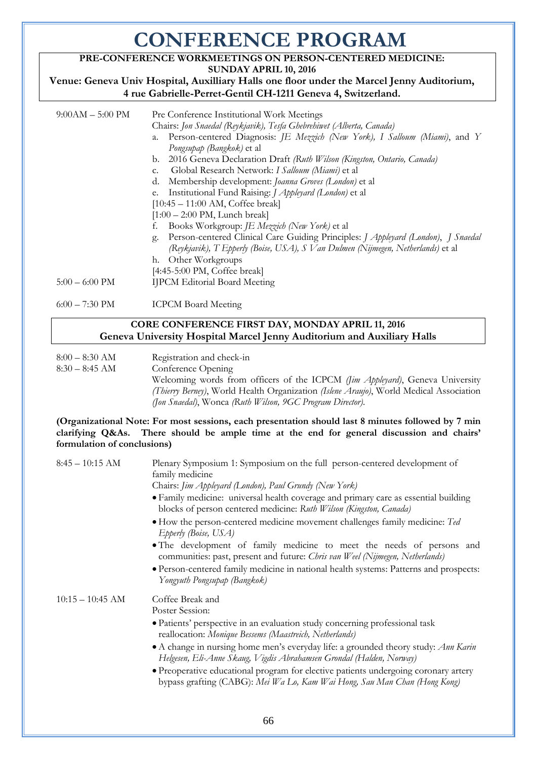# **CONFERENCE PROGRAM**

### **PRE-CONFERENCE WORKMEETINGS ON PERSON-CENTERED MEDICINE:**

**SUNDAY APRIL 10, 2016** 

**Venue: Geneva Univ Hospital, Auxilliary Halls one floor under the Marcel Jenny Auditorium, 4 rue Gabrielle-Perret-Gentil CH-1211 Geneva 4, Switzerland.**

| $9:00AM - 5:00 PM$       | Pre Conference Institutional Work Meetings<br>Chairs: Jon Snaedal (Reykjavik), Tesfa Ghebrehiwet (Alberta, Canada)                                                         |
|--------------------------|----------------------------------------------------------------------------------------------------------------------------------------------------------------------------|
|                          | Person-centered Diagnosis: JE Mezzich (New York), I Salloum (Miami), and Y<br>a.                                                                                           |
|                          | Pongsupap (Bangkok) et al<br>2016 Geneva Declaration Draft (Ruth Wilson (Kingston, Ontario, Canada)<br>b.                                                                  |
|                          | Global Research Network: I Salloum (Miami) et al<br>C.                                                                                                                     |
|                          | Membership development: Joanna Groves (London) et al<br>d.                                                                                                                 |
|                          | Institutional Fund Raising: <i>J Appleyard (London)</i> et al<br>e.                                                                                                        |
|                          | $[10:45 - 11:00$ AM, Coffee break]                                                                                                                                         |
|                          | $[1:00 - 2:00 \text{ PM}, \text{Lunch break}]$                                                                                                                             |
|                          | Books Workgroup: <i>JE Mezzich (New York)</i> et al<br>f.                                                                                                                  |
|                          | Person-centered Clinical Care Guiding Principles: J Appleyard (London), J Snaedal<br>g.<br>(Reykjavik), T Epperly (Boise, USA), S Van Dulmen (Nijmegen, Netherlands) et al |
|                          | Other Workgroups<br>h.                                                                                                                                                     |
|                          | [4:45-5:00 PM, Coffee break]                                                                                                                                               |
| $5:00 - 6:00 \text{ PM}$ | <b>IJPCM Editorial Board Meeting</b>                                                                                                                                       |
| $6:00 - 7:30 \text{ PM}$ | <b>ICPCM Board Meeting</b>                                                                                                                                                 |

#### **CORE CONFERENCE FIRST DAY, MONDAY APRIL 11, 2016 Geneva University Hospital Marcel Jenny Auditorium and Auxiliary Halls**

8:00 – 8:30 AM Registration and check-in

8:30 – 8:45 AM Conference Opening

Welcoming words from officers of the ICPCM *(Jim Appleyard)*, Geneva University *(Thierry Berney)*, World Health Organization *(Islene Araujo)*, World Medical Association *(Jon Snaedal)*, Wonca *(Ruth Wilson, 9GC Program Director)*.

**(Organizational Note: For most sessions, each presentation should last 8 minutes followed by 7 min clarifying Q&As. There should be ample time at the end for general discussion and chairs' formulation of conclusions)**

| Plenary Symposium 1: Symposium on the full person-centered development of<br>family medicine                                                                     |
|------------------------------------------------------------------------------------------------------------------------------------------------------------------|
| Chairs: Jim Appleyard (London), Paul Grundy (New York)                                                                                                           |
| • Family medicine: universal health coverage and primary care as essential building<br>blocks of person centered medicine: Ruth Wilson (Kingston, Canada)        |
| • How the person-centered medicine movement challenges family medicine: Ted<br>Epperly (Boise, USA)                                                              |
| • The development of family medicine to meet the needs of persons and<br>communities: past, present and future: Chris van Weel (Nijmegen, Netherlands)           |
| · Person-centered family medicine in national health systems: Patterns and prospects:<br>Yongyuth Pongsupap (Bangkok)                                            |
| Coffee Break and                                                                                                                                                 |
| Poster Session:                                                                                                                                                  |
| · Patients' perspective in an evaluation study concerning professional task<br>reallocation: Monique Bessems (Maastreich, Netherlands)                           |
| • A change in nursing home men's everyday life: a grounded theory study: Ann Karin<br>Helgesen, Eli-Anne Skaug, Vigdis Abrahamsen Grondal (Halden, Norway)       |
| • Preoperative educational program for elective patients undergoing coronary artery<br>bypass grafting (CABG): Mei Wa Lo, Kam Wai Hong, Sau Man Chan (Hong Kong) |
|                                                                                                                                                                  |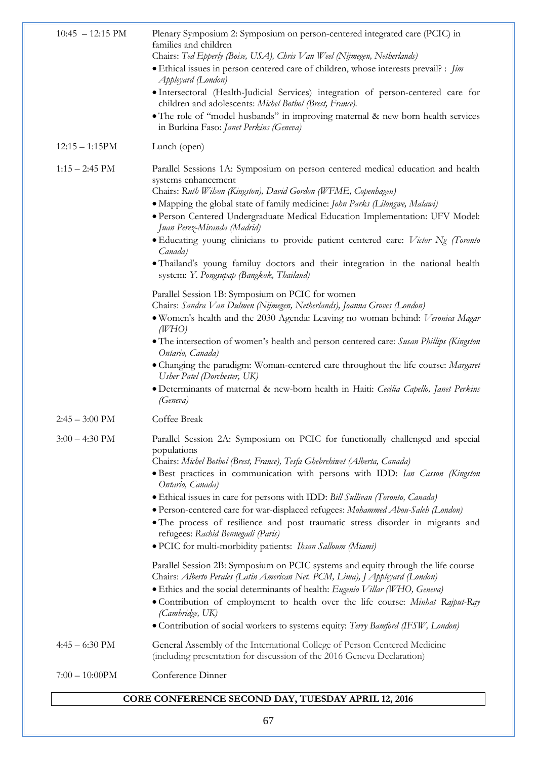| $10:45 - 12:15 \text{ PM}$ | Plenary Symposium 2: Symposium on person-centered integrated care (PCIC) in<br>families and children<br>Chairs: Ted Epperly (Boise, USA), Chris Van Weel (Nijmegen, Netherlands)<br>• Ethical issues in person centered care of children, whose interests prevail? : <i>Jim</i><br>Appleyard (London)<br>· Intersectoral (Health-Judicial Services) integration of person-centered care for<br>children and adolescents: Michel Botbol (Brest, France).<br>• The role of "model husbands" in improving maternal & new born health services<br>in Burkina Faso: Janet Perkins (Geneva)                                                       |
|----------------------------|---------------------------------------------------------------------------------------------------------------------------------------------------------------------------------------------------------------------------------------------------------------------------------------------------------------------------------------------------------------------------------------------------------------------------------------------------------------------------------------------------------------------------------------------------------------------------------------------------------------------------------------------|
| $12:15 - 1:15PM$           | Lunch (open)                                                                                                                                                                                                                                                                                                                                                                                                                                                                                                                                                                                                                                |
| $1:15 - 2:45$ PM           | Parallel Sessions 1A: Symposium on person centered medical education and health<br>systems enhancement<br>Chairs: Ruth Wilson (Kingston), David Gordon (WFME, Copenhagen)<br>• Mapping the global state of family medicine: John Parks (Lilongwe, Malawi)<br>· Person Centered Undergraduate Medical Education Implementation: UFV Model:<br>Juan Perez-Miranda (Madrid)<br>• Educating young clinicians to provide patient centered care: Victor Ng (Toronto<br>Canada)<br>• Thailand's young familuy doctors and their integration in the national health<br>system: Y. Pongsupap (Bangkok, Thailand)                                     |
|                            | Parallel Session 1B: Symposium on PCIC for women<br>Chairs: Sandra Van Dulmen (Nijmegen, Netherlands), Joanna Groves (London)<br>• Women's health and the 2030 Agenda: Leaving no woman behind: Veronica Magar<br>(WHO)<br>• The intersection of women's health and person centered care: Susan Phillips (Kingston<br>Ontario, Canada)<br>• Changing the paradigm: Woman-centered care throughout the life course: Margaret<br>Usher Patel (Dorchester, UK)<br>· Determinants of maternal & new-born health in Haiti: Cecilia Capello, Janet Perkins<br>(Geneva)                                                                            |
| $2:45 - 3:00 \text{ PM}$   | Coffee Break                                                                                                                                                                                                                                                                                                                                                                                                                                                                                                                                                                                                                                |
| $3:00 - 4:30$ PM           | Parallel Session 2A: Symposium on PCIC for functionally challenged and special<br>populations<br>Chairs: Michel Botbol (Brest, France), Tesfa Ghebrehiwet (Alberta, Canada)<br>· Best practices in communication with persons with IDD: Ian Casson (Kingston<br>Ontario, Canada)<br>· Ethical issues in care for persons with IDD: Bill Sullivan (Toronto, Canada)<br>· Person-centered care for war-displaced refugees: Mohammed Abou-Saleh (London)<br>· The process of resilience and post traumatic stress disorder in migrants and<br>refugees: Rachid Bennegadi (Paris)<br>· PCIC for multi-morbidity patients: Ihsan Salloum (Miami) |
|                            | Parallel Session 2B: Symposium on PCIC systems and equity through the life course<br>Chairs: Alberto Perales (Latin American Net. PCM, Lima), J Appleyard (London)<br>• Ethics and the social determinants of health: Eugenio Villar (WHO, Geneva)<br>• Contribution of employment to health over the life course: Minhat Rajput-Ray<br>(Cambridge, UK)<br>· Contribution of social workers to systems equity: Terry Bamford (IFSW, London)                                                                                                                                                                                                 |
| $4:45 - 6:30 \text{ PM}$   | General Assembly of the International College of Person Centered Medicine<br>(including presentation for discussion of the 2016 Geneva Declaration)                                                                                                                                                                                                                                                                                                                                                                                                                                                                                         |
| $7:00 - 10:00$ PM          | Conference Dinner                                                                                                                                                                                                                                                                                                                                                                                                                                                                                                                                                                                                                           |

## **CORE CONFERENCE SECOND DAY, TUESDAY APRIL 12, 2016**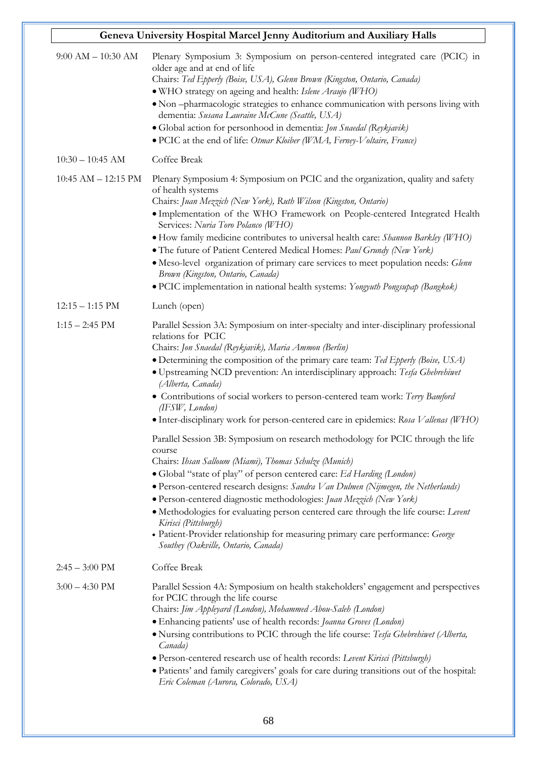| Geneva University Hospital Marcel Jenny Auditorium and Auxiliary Halls |                                                                                                                                                                                                                                                                                                                                                                                                                                                                                                                                                                                                                                                                                                                                                                                                                                                                                                                                                                                                                                                                                                                                                                                                 |  |
|------------------------------------------------------------------------|-------------------------------------------------------------------------------------------------------------------------------------------------------------------------------------------------------------------------------------------------------------------------------------------------------------------------------------------------------------------------------------------------------------------------------------------------------------------------------------------------------------------------------------------------------------------------------------------------------------------------------------------------------------------------------------------------------------------------------------------------------------------------------------------------------------------------------------------------------------------------------------------------------------------------------------------------------------------------------------------------------------------------------------------------------------------------------------------------------------------------------------------------------------------------------------------------|--|
| $9:00 AM - 10:30 AM$                                                   | Plenary Symposium 3: Symposium on person-centered integrated care (PCIC) in<br>older age and at end of life<br>Chairs: Ted Epperly (Boise, USA), Glenn Brown (Kingston, Ontario, Canada)<br>· WHO strategy on ageing and health: Islene Araujo (WHO)<br>· Non-pharmacologic strategies to enhance communication with persons living with<br>dementia: Susana Lauraine McCune (Seattle, USA)<br>· Global action for personhood in dementia: Jon Snaedal (Reykjavik)<br>· PCIC at the end of life: Otmar Kloiber (WMA, Ferney-Voltaire, France)                                                                                                                                                                                                                                                                                                                                                                                                                                                                                                                                                                                                                                                   |  |
| $10:30 - 10:45$ AM                                                     | Coffee Break                                                                                                                                                                                                                                                                                                                                                                                                                                                                                                                                                                                                                                                                                                                                                                                                                                                                                                                                                                                                                                                                                                                                                                                    |  |
| $10:45$ AM $- 12:15$ PM                                                | Plenary Symposium 4: Symposium on PCIC and the organization, quality and safety<br>of health systems<br>Chairs: Juan Mezzich (New York), Ruth Wilson (Kingston, Ontario)<br>· Implementation of the WHO Framework on People-centered Integrated Health<br>Services: Nuria Toro Polanco (WHO)<br>• How family medicine contributes to universal health care: Shannon Barkley (WHO)<br>• The future of Patient Centered Medical Homes: Paul Grundy (New York)<br>· Meso-level organization of primary care services to meet population needs: Glenn<br>Brown (Kingston, Ontario, Canada)<br>• PCIC implementation in national health systems: Yongyuth Pongsupap (Bangkok)                                                                                                                                                                                                                                                                                                                                                                                                                                                                                                                        |  |
| $12:15 - 1:15 \text{ PM}$                                              | Lunch (open)                                                                                                                                                                                                                                                                                                                                                                                                                                                                                                                                                                                                                                                                                                                                                                                                                                                                                                                                                                                                                                                                                                                                                                                    |  |
| $1:15 - 2:45$ PM                                                       | Parallel Session 3A: Symposium on inter-specialty and inter-disciplinary professional<br>relations for PCIC<br>Chairs: Jon Snaedal (Reykjavik), Maria Ammon (Berlin)<br>• Determining the composition of the primary care team: Ted Epperly (Boise, USA)<br>· Upstreaming NCD prevention: An interdisciplinary approach: Tesfa Ghebrehiwet<br>(Alberta, Canada)<br>• Contributions of social workers to person-centered team work: Terry Bamford<br>(IFSW, London)<br>• Inter-disciplinary work for person-centered care in epidemics: Rosa Vallenas (WHO)<br>Parallel Session 3B: Symposium on research methodology for PCIC through the life<br>course<br>Chairs: Ihsan Salloum (Miami), Thomas Schulze (Munich)<br>• Global "state of play" of person centered care: Ed Harding (London)<br>• Person-centered research designs: Sandra Van Dulmen (Nijmegen, the Netherlands)<br>· Person-centered diagnostic methodologies: Juan Mezzich (New York)<br>• Methodologies for evaluating person centered care through the life course: Levent<br>Kirisci (Pittsburgh)<br>• Patient-Provider relationship for measuring primary care performance: George<br>Southey (Oakville, Ontario, Canada) |  |
| $2:45 - 3:00 \text{ PM}$                                               | Coffee Break                                                                                                                                                                                                                                                                                                                                                                                                                                                                                                                                                                                                                                                                                                                                                                                                                                                                                                                                                                                                                                                                                                                                                                                    |  |
| $3:00 - 4:30 \text{ PM}$                                               | Parallel Session 4A: Symposium on health stakeholders' engagement and perspectives<br>for PCIC through the life course<br>Chairs: Jim Appleyard (London), Mohammed Abou-Saleh (London)<br>• Enhancing patients' use of health records: Joanna Groves (London)<br>· Nursing contributions to PCIC through the life course: Tesfa Ghebrehiwet (Alberta,<br>Canada)<br>• Person-centered research use of health records: Levent Kirisci (Pittsburgh)<br>· Patients' and family caregivers' goals for care during transitions out of the hospital:<br>Eric Coleman (Aurora, Colorado, USA)                                                                                                                                                                                                                                                                                                                                                                                                                                                                                                                                                                                                          |  |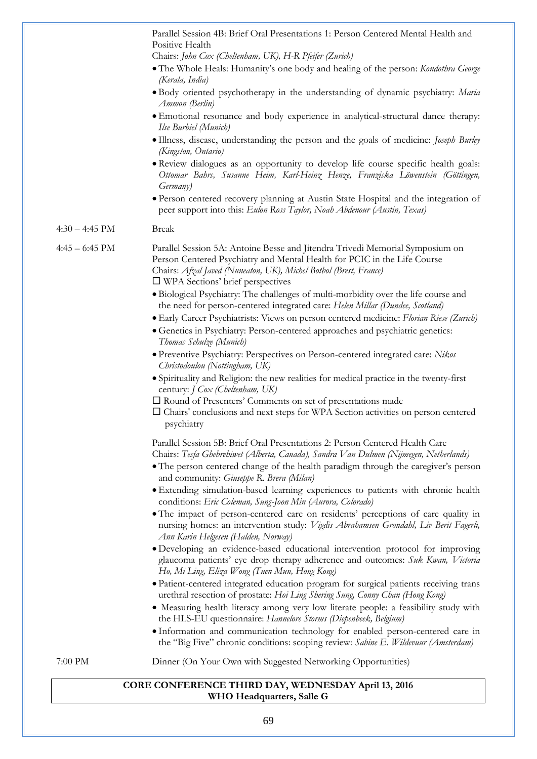|                          | Parallel Session 4B: Brief Oral Presentations 1: Person Centered Mental Health and<br>Positive Health                                                                                                                                                                                                                                                                        |
|--------------------------|------------------------------------------------------------------------------------------------------------------------------------------------------------------------------------------------------------------------------------------------------------------------------------------------------------------------------------------------------------------------------|
|                          | Chairs: John Cox (Cheltenham, UK), H-R Pfeifer (Zurich)<br>· The Whole Heals: Humanity's one body and healing of the person: Kondothra George<br>(Kerala, India)                                                                                                                                                                                                             |
|                          | • Body oriented psychotherapy in the understanding of dynamic psychiatry: Maria<br>Ammon (Berlin)                                                                                                                                                                                                                                                                            |
|                          | · Emotional resonance and body experience in analytical-structural dance therapy:<br>Ilse Burbiel (Munich)                                                                                                                                                                                                                                                                   |
|                          | · Illness, disease, understanding the person and the goals of medicine: Joseph Burley<br>(Kingston, Ontario)                                                                                                                                                                                                                                                                 |
|                          | • Review dialogues as an opportunity to develop life course specific health goals:<br>Ottomar Bahrs, Susanne Heim, Karl-Heinz Henze, Franziska Löwenstein (Göttingen,<br><i>Germany</i> )                                                                                                                                                                                    |
|                          | · Person centered recovery planning at Austin State Hospital and the integration of<br>peer support into this: Eulon Ross Taylor, Noah Abdenour (Austin, Texas)                                                                                                                                                                                                              |
| $4:30 - 4:45 \text{ PM}$ | <b>Break</b>                                                                                                                                                                                                                                                                                                                                                                 |
| $4:45 - 6:45$ PM         | Parallel Session 5A: Antoine Besse and Jitendra Trivedi Memorial Symposium on<br>Person Centered Psychiatry and Mental Health for PCIC in the Life Course<br>Chairs: Afzal Javed (Nuneaton, UK), Michel Botbol (Brest, France)<br>$\Box$ WPA Sections' brief perspectives                                                                                                    |
|                          | · Biological Psychiatry: The challenges of multi-morbidity over the life course and<br>the need for person-centered integrated care: Helen Millar (Dundee, Scotland)<br>· Early Career Psychiatrists: Views on person centered medicine: Florian Riese (Zurich)<br>• Genetics in Psychiatry: Person-centered approaches and psychiatric genetics:<br>Thomas Schulze (Munich) |
|                          | · Preventive Psychiatry: Perspectives on Person-centered integrated care: Nikos<br>Christodoulou (Nottingham, UK)                                                                                                                                                                                                                                                            |
|                          | · Spirituality and Religion: the new realities for medical practice in the twenty-first<br>century: J Cox (Cheltenham, UK)                                                                                                                                                                                                                                                   |
|                          | □ Round of Presenters' Comments on set of presentations made<br>$\Box$ Chairs' conclusions and next steps for WPA Section activities on person centered<br>psychiatry                                                                                                                                                                                                        |
|                          | Parallel Session 5B: Brief Oral Presentations 2: Person Centered Health Care<br>Chairs: Tesfa Ghebrehiwet (Alberta, Canada), Sandra Van Dulmen (Nijmegen, Netherlands)                                                                                                                                                                                                       |
|                          | • The person centered change of the health paradigm through the caregiver's person<br>and community: Giuseppe R. Brera (Milan)                                                                                                                                                                                                                                               |
|                          | · Extending simulation-based learning experiences to patients with chronic health<br>conditions: Eric Coleman, Sung-Joon Min (Aurora, Colorado)                                                                                                                                                                                                                              |
|                          | · The impact of person-centered care on residents' perceptions of care quality in<br>nursing homes: an intervention study: Vigdis Abrahamsen Grondahl, Liv Berit Fagerli,<br>Ann Karin Helgesen (Halden, Norway)                                                                                                                                                             |
|                          | · Developing an evidence-based educational intervention protocol for improving<br>glaucoma patients' eye drop therapy adherence and outcomes: Suk Kwan, Victoria<br>Ho, Mi Ling, Eliza Wong (Tuen Mun, Hong Kong)                                                                                                                                                            |
|                          | · Patient-centered integrated education program for surgical patients receiving trans<br>urethral resection of prostate: Hoi Ling Shering Sung, Conny Chan (Hong Kong)                                                                                                                                                                                                       |
|                          | • Measuring health literacy among very low literate people: a feasibility study with<br>the HLS-EU questionnaire: Hannelore Storms (Diepenbeek, Belgium)                                                                                                                                                                                                                     |
|                          |                                                                                                                                                                                                                                                                                                                                                                              |
|                          | · Information and communication technology for enabled person-centered care in<br>the "Big Five" chronic conditions: scoping review: Sabine E. Wildevuur (Amsterdam)                                                                                                                                                                                                         |

#### 69

**WHO Headquarters, Salle G**